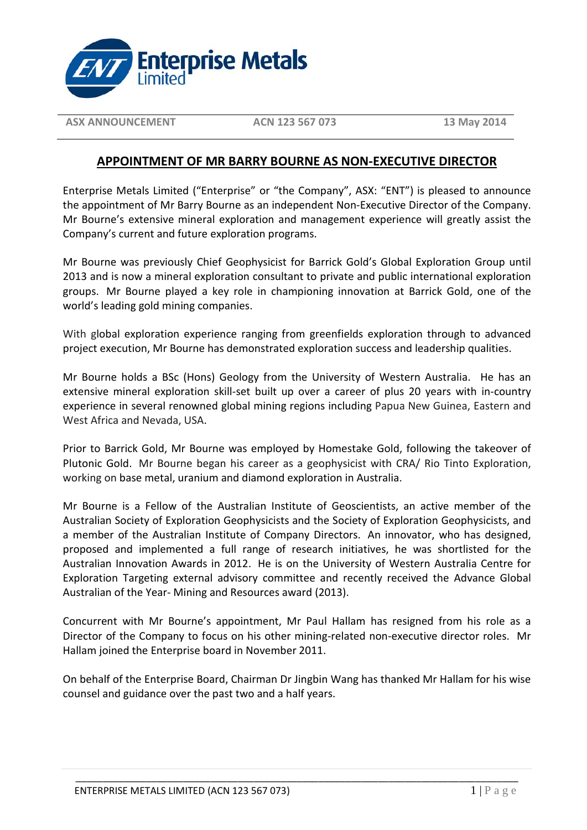

**ASX ANNOUNCEMENT ACN 123 567 073 13 May 2014** 

## **APPOINTMENT OF MR BARRY BOURNE AS NON-EXECUTIVE DIRECTOR**

Enterprise Metals Limited ("Enterprise" or "the Company", ASX: "ENT") is pleased to announce the appointment of Mr Barry Bourne as an independent Non-Executive Director of the Company. Mr Bourne's extensive mineral exploration and management experience will greatly assist the Company's current and future exploration programs.

Mr Bourne was previously Chief Geophysicist for Barrick Gold's Global Exploration Group until 2013 and is now a mineral exploration consultant to private and public international exploration groups. Mr Bourne played a key role in championing innovation at Barrick Gold, one of the world's leading gold mining companies.

With global exploration experience ranging from greenfields exploration through to advanced project execution, Mr Bourne has demonstrated exploration success and leadership qualities.

Mr Bourne holds a BSc (Hons) Geology from the University of Western Australia. He has an extensive mineral exploration skill-set built up over a career of plus 20 years with in-country experience in several renowned global mining regions including Papua New Guinea, Eastern and West Africa and Nevada, USA.

Prior to Barrick Gold, Mr Bourne was employed by Homestake Gold, following the takeover of Plutonic Gold. Mr Bourne began his career as a geophysicist with CRA/ Rio Tinto Exploration, working on base metal, uranium and diamond exploration in Australia.

Mr Bourne is a Fellow of the Australian Institute of Geoscientists, an active member of the Australian Society of Exploration Geophysicists and the Society of Exploration Geophysicists, and a member of the Australian Institute of Company Directors. An innovator, who has designed, proposed and implemented a full range of research initiatives, he was shortlisted for the Australian Innovation Awards in 2012. He is on the University of Western Australia Centre for Exploration Targeting external advisory committee and recently received the Advance Global Australian of the Year- Mining and Resources award (2013).

Concurrent with Mr Bourne's appointment, Mr Paul Hallam has resigned from his role as a Director of the Company to focus on his other mining-related non-executive director roles. Mr Hallam joined the Enterprise board in November 2011.

On behalf of the Enterprise Board, Chairman Dr Jingbin Wang has thanked Mr Hallam for his wise counsel and guidance over the past two and a half years.

\_\_\_\_\_\_\_\_\_\_\_\_\_\_\_\_\_\_\_\_\_\_\_\_\_\_\_\_\_\_\_\_\_\_\_\_\_\_\_\_\_\_\_\_\_\_\_\_\_\_\_\_\_\_\_\_\_\_\_\_\_\_\_\_\_\_\_\_\_\_\_\_\_\_\_\_\_\_\_\_\_\_